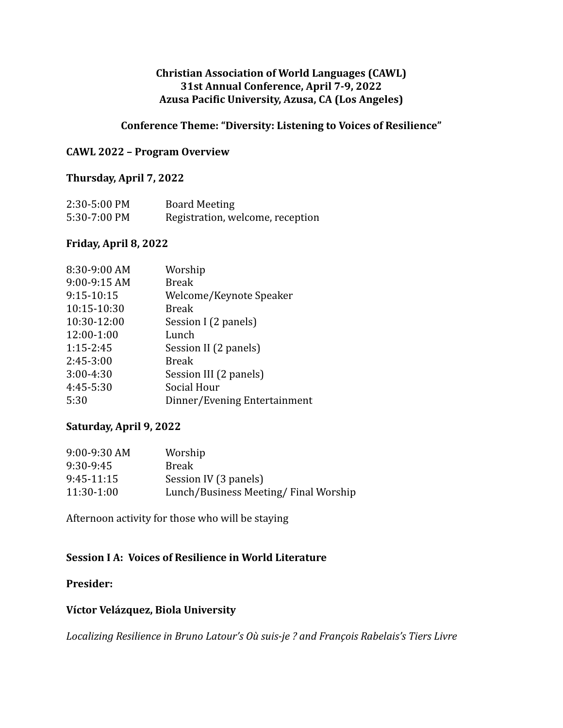### **Christian Association of World Languages (CAWL) 31st Annual Conference, April 7-9, 2022 Azusa Pacific University, Azusa, CA (Los Angeles)**

### **Conference Theme: "Diversity: Listening to Voices of Resilience"**

### **CAWL 2022 – Program Overview**

#### **Thursday, April 7, 2022**

| 2:30-5:00 PM | <b>Board Meeting</b>             |
|--------------|----------------------------------|
| 5:30-7:00 PM | Registration, welcome, reception |

#### **Friday, April 8, 2022**

| 8:30-9:00 AM  | Worship                      |
|---------------|------------------------------|
| 9:00-9:15 AM  | <b>Break</b>                 |
| 9:15-10:15    | Welcome/Keynote Speaker      |
| 10:15-10:30   | <b>Break</b>                 |
| 10:30-12:00   | Session I (2 panels)         |
| 12:00-1:00    | Lunch                        |
| $1:15 - 2:45$ | Session II (2 panels)        |
| $2:45-3:00$   | <b>Break</b>                 |
| $3:00-4:30$   | Session III (2 panels)       |
| 4:45-5:30     | Social Hour                  |
| 5:30          | Dinner/Evening Entertainment |
|               |                              |

### **Saturday, April 9, 2022**

| 9:00-9:30 AM | Worship                              |
|--------------|--------------------------------------|
| 9:30-9:45    | <b>Break</b>                         |
| $9:45-11:15$ | Session IV (3 panels)                |
| 11:30-1:00   | Lunch/Business Meeting/Final Worship |

Afternoon activity for those who will be staying

### **Session I A: Voices of Resilience in World Literature**

### **Presider:**

### **Víctor Velázquez, Biola University**

*Localizing Resilience in Bruno Latour's Où suis-je ? and François Rabelais's Tiers Livre*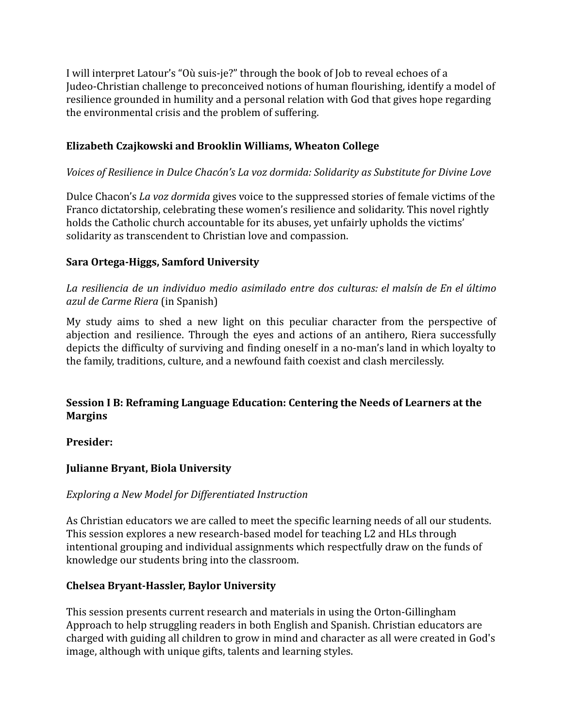I will interpret Latour's "Où suis-je?" through the book of Job to reveal echoes of a Judeo-Christian challenge to preconceived notions of human flourishing, identify a model of resilience grounded in humility and a personal relation with God that gives hope regarding the environmental crisis and the problem of suffering.

## **Elizabeth Czajkowski and Brooklin Williams, Wheaton College**

### *Voices of Resilience in Dulce Chacón's La voz dormida: Solidarity as Substitute for Divine Love*

Dulce Chacon's *La voz dormida* gives voice to the suppressed stories of female victims of the Franco dictatorship, celebrating these women's resilience and solidarity. This novel rightly holds the Catholic church accountable for its abuses, yet unfairly upholds the victims' solidarity as transcendent to Christian love and compassion.

### **Sara Ortega-Higgs, Samford University**

*La resiliencia de un individuo medio asimilado entre dos culturas: el malsín de En el último azul de Carme Riera* (in Spanish)

My study aims to shed a new light on this peculiar character from the perspective of abjection and resilience. Through the eyes and actions of an antihero, Riera successfully depicts the difficulty of surviving and finding oneself in a no-man's land in which loyalty to the family, traditions, culture, and a newfound faith coexist and clash mercilessly.

### **Session I B: Reframing Language Education: Centering the Needs of Learners at the Margins**

**Presider:**

## **Julianne Bryant, Biola University**

### *Exploring a New Model for Differentiated Instruction*

As Christian educators we are called to meet the specific learning needs of all our students. This session explores a new research-based model for teaching L2 and HLs through intentional grouping and individual assignments which respectfully draw on the funds of knowledge our students bring into the classroom.

### **Chelsea Bryant-Hassler, Baylor University**

This session presents current research and materials in using the Orton-Gillingham Approach to help struggling readers in both English and Spanish. Christian educators are charged with guiding all children to grow in mind and character as all were created in God's image, although with unique gifts, talents and learning styles.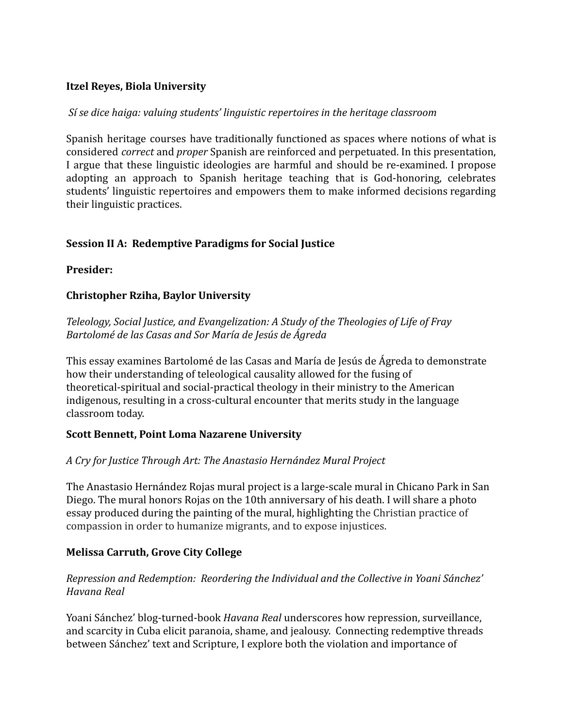### **Itzel Reyes, Biola University**

#### *Sí se dice haiga: valuing students' linguistic repertoires in the heritage classroom*

Spanish heritage courses have traditionally functioned as spaces where notions of what is considered *correct* and *proper* Spanish are reinforced and perpetuated. In this presentation, I argue that these linguistic ideologies are harmful and should be re-examined. I propose adopting an approach to Spanish heritage teaching that is God-honoring, celebrates students' linguistic repertoires and empowers them to make informed decisions regarding their linguistic practices.

### **Session II A: Redemptive Paradigms for Social Justice**

### **Presider:**

### **Christopher Rziha, Baylor University**

*Teleology, Social Justice, and Evangelization: A Study of the Theologies of Life of Fray Bartolomé de las Casas and Sor María de Jesús de Ágreda*

This essay examines Bartolomé de las Casas and María de Jesús de Ágreda to demonstrate how their understanding of teleological causality allowed for the fusing of theoretical-spiritual and social-practical theology in their ministry to the American indigenous, resulting in a cross-cultural encounter that merits study in the language classroom today.

### **Scott Bennett, Point Loma Nazarene University**

### *A Cry for Justice Through Art: The Anastasio Hernández Mural Project*

The Anastasio Hernández Rojas mural project is a large-scale mural in Chicano Park in San Diego. The mural honors Rojas on the 10th anniversary of his death. I will share a photo essay produced during the painting of the mural, highlighting the Christian practice of compassion in order to humanize migrants, and to expose injustices.

### **Melissa Carruth, Grove City College**

### *Repression and Redemption: Reordering the Individual and the Collective in Yoani Sánchez' Havana Real*

Yoani Sánchez' blog-turned-book *Havana Real* underscores how repression, surveillance, and scarcity in Cuba elicit paranoia, shame, and jealousy. Connecting redemptive threads between Sánchez' text and Scripture, I explore both the violation and importance of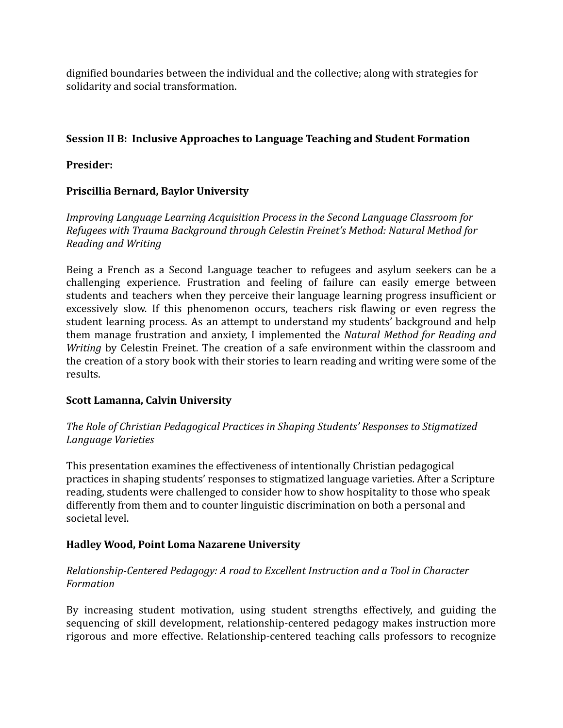dignified boundaries between the individual and the collective; along with strategies for solidarity and social transformation.

# **Session II B: Inclusive Approaches to Language Teaching and Student Formation**

## **Presider:**

# **Priscillia Bernard, Baylor University**

*Improving Language Learning Acquisition Process in the Second Language Classroom for Refugees with Trauma Background through Celestin Freinet's Method: Natural Method for Reading and Writing*

Being a French as a Second Language teacher to refugees and asylum seekers can be a challenging experience. Frustration and feeling of failure can easily emerge between students and teachers when they perceive their language learning progress insufficient or excessively slow. If this phenomenon occurs, teachers risk flawing or even regress the student learning process. As an attempt to understand my students' background and help them manage frustration and anxiety, I implemented the *Natural Method for Reading and Writing* by Celestin Freinet. The creation of a safe environment within the classroom and the creation of a story book with their stories to learn reading and writing were some of the results.

## **Scott Lamanna, Calvin University**

*The Role of Christian Pedagogical Practices in Shaping Students' Responses to Stigmatized Language Varieties*

This presentation examines the effectiveness of intentionally Christian pedagogical practices in shaping students' responses to stigmatized language varieties. After a Scripture reading, students were challenged to consider how to show hospitality to those who speak differently from them and to counter linguistic discrimination on both a personal and societal level.

## **Hadley Wood, Point Loma Nazarene University**

## *Relationship-Centered Pedagogy: A road to Excellent Instruction and a Tool in Character Formation*

By increasing student motivation, using student strengths effectively, and guiding the sequencing of skill development, relationship-centered pedagogy makes instruction more rigorous and more effective. Relationship-centered teaching calls professors to recognize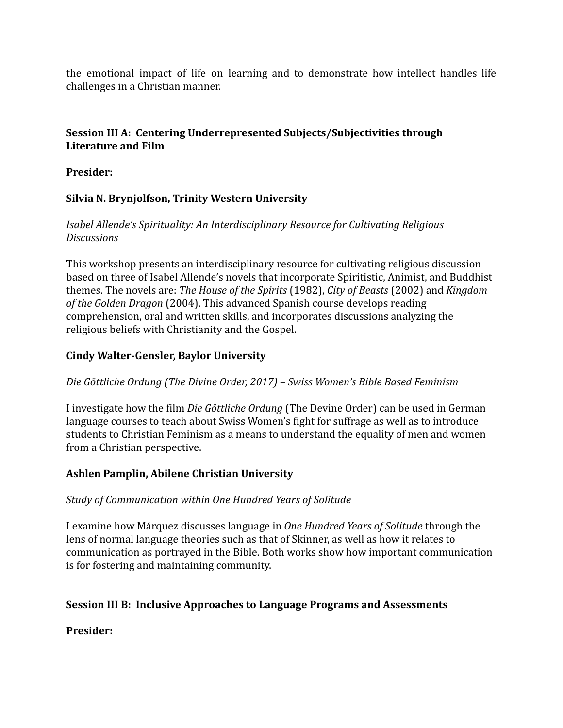the emotional impact of life on learning and to demonstrate how intellect handles life challenges in a Christian manner.

## **Session III A: Centering Underrepresented Subjects/Subjectivities through Literature and Film**

**Presider:**

## **Silvia N. Brynjolfson, Trinity Western University**

### *Isabel Allende's Spirituality: An Interdisciplinary Resource for Cultivating Religious Discussions*

This workshop presents an interdisciplinary resource for cultivating religious discussion based on three of Isabel Allende's novels that incorporate Spiritistic, Animist, and Buddhist themes. The novels are: *The House of the Spirits* (1982), *City of Beasts* (2002) and *Kingdom of the Golden Dragon* (2004). This advanced Spanish course develops reading comprehension, oral and written skills, and incorporates discussions analyzing the religious beliefs with Christianity and the Gospel.

### **Cindy Walter-Gensler, Baylor University**

### *Die Göttliche Ordung (The Divine Order, 2017) – Swiss Women's Bible Based Feminism*

I investigate how the film *Die Göttliche Ordung* (The Devine Order) can be used in German language courses to teach about Swiss Women's fight for suffrage as well as to introduce students to Christian Feminism as a means to understand the equality of men and women from a Christian perspective.

## **Ashlen Pamplin, Abilene Christian University**

### *Study of Communication within One Hundred Years of Solitude*

I examine how Márquez discusses language in *One Hundred Years of Solitude* through the lens of normal language theories such as that of Skinner, as well as how it relates to communication as portrayed in the Bible. Both works show how important communication is for fostering and maintaining community.

## **Session III B: Inclusive Approaches to Language Programs and Assessments**

## **Presider:**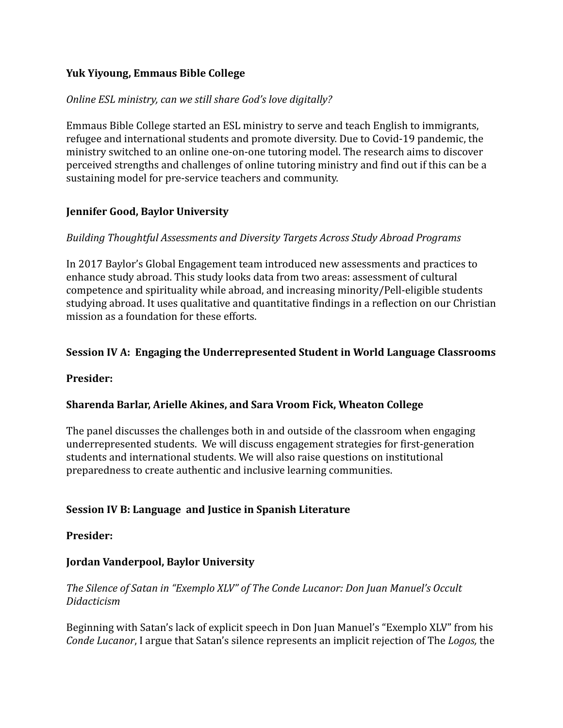### **Yuk Yiyoung, Emmaus Bible College**

### *Online ESL ministry, can we still share God's love digitally?*

Emmaus Bible College started an ESL ministry to serve and teach English to immigrants, refugee and international students and promote diversity. Due to Covid-19 pandemic, the ministry switched to an online one-on-one tutoring model. The research aims to discover perceived strengths and challenges of online tutoring ministry and find out if this can be a sustaining model for pre-service teachers and community.

### **Jennifer Good, Baylor University**

### *Building Thoughtful Assessments and Diversity Targets Across Study Abroad Programs*

In 2017 Baylor's Global Engagement team introduced new assessments and practices to enhance study abroad. This study looks data from two areas: assessment of cultural competence and spirituality while abroad, and increasing minority/Pell-eligible students studying abroad. It uses qualitative and quantitative findings in a reflection on our Christian mission as a foundation for these efforts.

### **Session IV A: Engaging the Underrepresented Student in World Language Classrooms**

### **Presider:**

### **Sharenda Barlar, Arielle Akines, and Sara Vroom Fick, Wheaton College**

The panel discusses the challenges both in and outside of the classroom when engaging underrepresented students. We will discuss engagement strategies for first-generation students and international students. We will also raise questions on institutional preparedness to create authentic and inclusive learning communities.

### **Session IV B: Language and Justice in Spanish Literature**

### **Presider:**

### **Jordan Vanderpool, Baylor University**

### *The Silence of Satan in "Exemplo XLV" of The Conde Lucanor: Don Juan Manuel's Occult Didacticism*

Beginning with Satan's lack of explicit speech in Don Juan Manuel's "Exemplo XLV" from his *Conde Lucanor*, I argue that Satan's silence represents an implicit rejection of The *Logos,* the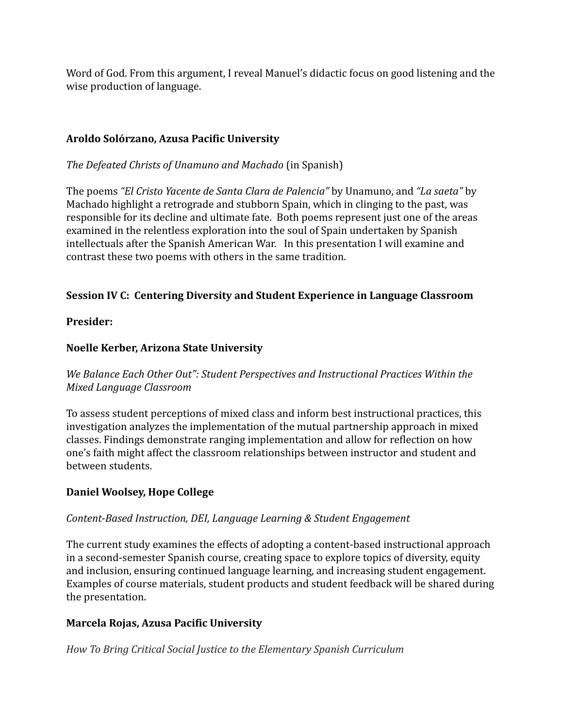Word of God. From this argument, I reveal Manuel's didactic focus on good listening and the wise production of language.

## **Aroldo Solórzano, Azusa Pacific University**

*The Defeated Christs of Unamuno and Machado* (in Spanish)

The poems *"El Cristo Yacente de Santa Clara de Palencia"* by Unamuno, and *"La saeta"* by Machado highlight a retrograde and stubborn Spain, which in clinging to the past, was responsible for its decline and ultimate fate. Both poems represent just one of the areas examined in the relentless exploration into the soul of Spain undertaken by Spanish intellectuals after the Spanish American War. In this presentation I will examine and contrast these two poems with others in the same tradition.

## **Session IV C: Centering Diversity and Student Experience in Language Classroom**

### **Presider:**

## **Noelle Kerber, Arizona State University**

*We Balance Each Other Out": Student Perspectives and Instructional Practices Within the Mixed Language Classroom*

To assess student perceptions of mixed class and inform best instructional practices, this investigation analyzes the implementation of the mutual partnership approach in mixed classes. Findings demonstrate ranging implementation and allow for reflection on how one's faith might affect the classroom relationships between instructor and student and between students.

## **Daniel Woolsey, Hope College**

## *Content-Based Instruction, DEI, Language Learning & Student Engagement*

The current study examines the effects of adopting a content-based instructional approach in a second-semester Spanish course, creating space to explore topics of diversity, equity and inclusion, ensuring continued language learning, and increasing student engagement. Examples of course materials, student products and student feedback will be shared during the presentation.

## **Marcela Rojas, Azusa Pacific University**

*How To Bring Critical Social Justice to the Elementary Spanish Curriculum*